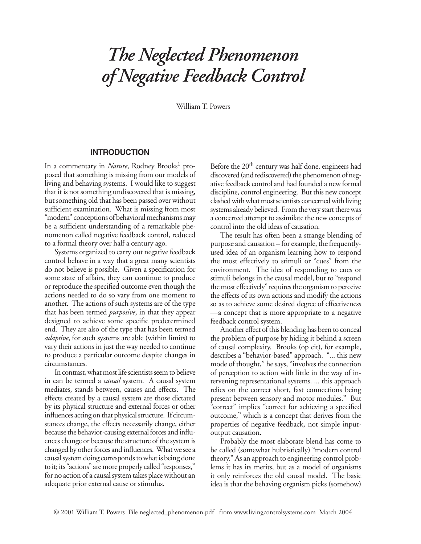# *The Neglected Phenomenon of Negative Feedback Control*

William T. Powers

## **INTRODUCTION**

In a commentary in *Nature*, Rodney Brooks<sup>1</sup> proposed that something is missing from our models of living and behaving systems. I would like to suggest that it is not something undiscovered that is missing, but something old that has been passed over without sufficient examination. What is missing from most "modern" conceptions of behavioral mechanisms may be a sufficient understanding of a remarkable phenomenon called negative feedback control, reduced to a formal theory over half a century ago.

Systems organized to carry out negative feedback control behave in a way that a great many scientists do not believe is possible. Given a specification for some state of affairs, they can continue to produce or reproduce the specified outcome even though the actions needed to do so vary from one moment to another. The actions of such systems are of the type that has been termed *purposive*, in that they appear designed to achieve some specific predetermined end. They are also of the type that has been termed *adaptive*, for such systems are able (within limits) to vary their actions in just the way needed to continue to produce a particular outcome despite changes in circumstances.

In contrast, what most life scientists seem to believe in can be termed a *causal* system. A causal system mediates, stands between, causes and effects. The effects created by a causal system are those dictated by its physical structure and external forces or other influences acting on that physical structure. If circumstances change, the effects necessarily change, either because the behavior-causing external forces and influences change or because the structure of the system is changed by other forces and influences. What we see a causal system doing corresponds to what is being done to it; its "actions" are more properly called "responses," for no action of a causal system takes place without an adequate prior external cause or stimulus.

Before the 20<sup>th</sup> century was half done, engineers had discovered (and rediscovered) the phenomenon of negative feedback control and had founded a new formal discipline, control engineering. But this new concept clashed with what most scientists concerned with living systems already believed. From the very start there was a concerted attempt to assimilate the new concepts of control into the old ideas of causation.

The result has often been a strange blending of purpose and causation – for example, the frequentlyused idea of an organism learning how to respond the most effectively to stimuli or "cues" from the environment. The idea of responding to cues or stimuli belongs in the causal model, but to "respond the most effectively" requires the organism to perceive the effects of its own actions and modify the actions so as to achieve some desired degree of effectiveness —a concept that is more appropriate to a negative feedback control system.

Another effect of this blending has been to conceal the problem of purpose by hiding it behind a screen of causal complexity. Brooks (op cit), for example, describes a "behavior-based" approach. "... this new mode of thought," he says, "involves the connection of perception to action with little in the way of intervening representational systems. ... this approach relies on the correct short, fast connections being present between sensory and motor modules." But "correct" implies "correct for achieving a specified outcome," which is a concept that derives from the properties of negative feedback, not simple inputoutput causation.

Probably the most elaborate blend has come to be called (somewhat hubristically) "modern control theory." As an approach to engineering control problems it has its merits, but as a model of organisms it only reinforces the old causal model. The basic idea is that the behaving organism picks (somehow)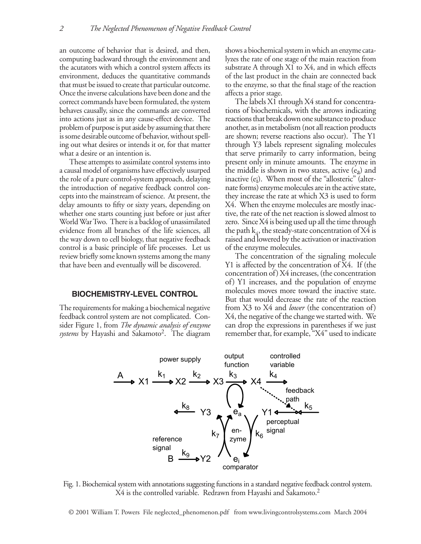an outcome of behavior that is desired, and then, computing backward through the environment and the acutators with which a control system affects its environment, deduces the quantitative commands that must be issued to create that particular outcome. Once the inverse calculations have been done and the correct commands have been formulated, the system behaves causally, since the commands are converted into actions just as in any cause-effect device. The problem of purpose is put aside by assuming that there is some desirable outcome of behavior, without spelling out what desires or intends it or, for that matter what a desire or an intention is.

These attempts to assimilate control systems into a causal model of organisms have effectively usurped the role of a pure control-system approach, delaying the introduction of negative feedback control concepts into the mainstream of science. At present, the delay amounts to fifty or sixty years, depending on whether one starts counting just before or just after World War Two. There is a backlog of unassimilated evidence from all branches of the life sciences, all the way down to cell biology, that negative feedback control is a basic principle of life processes. Let us review briefly some known systems among the many that have been and eventually will be discovered.

# **BIOCHEMISTRY-LEVEL CONTROL**

The requirements for making a biochemical negative feedback control system are not complicated. Consider Figure 1, from *The dynamic analysis of enzyme*  systems by Hayashi and Sakamoto<sup>2</sup>. The diagram

shows a biochemical system in which an enzyme catalyzes the rate of one stage of the main reaction from substrate A through X1 to X4, and in which effects of the last product in the chain are connected back to the enzyme, so that the final stage of the reaction affects a prior stage.

The labels X1 through X4 stand for concentrations of biochemicals, with the arrows indicating reactions that break down one substance to produce another, as in metabolism (not all reaction products are shown; reverse reactions also occur). The Y1 through Y3 labels represent signaling molecules that serve primarily to carry information, being present only in minute amounts. The enzyme in the middle is shown in two states, active  $(e_a)$  and inactive (ei). When most of the "allosteric" (alternate forms) enzyme molecules are in the active state, they increase the rate at which X3 is used to form X4. When the enzyme molecules are mostly inactive, the rate of the net reaction is slowed almost to zero. Since X4 is being used up all the time through the path  $k_4$ , the steady-state concentration of X4 is raised and lowered by the activation or inactivation of the enzyme molecules.

The concentration of the signaling molecule Y1 is affected by the concentration of X4. If (the concentration of) X4 increases, (the concentration of) Y1 increases, and the population of enzyme molecules moves more toward the inactive state. But that would decrease the rate of the reaction from X3 to X4 and *lower* (the concentration of) X4, the negative of the change we started with. We can drop the expressions in parentheses if we just remember that, for example, "X4" used to indicate



Fig. 1. Biochemical system with annotations suggesting functions in a standard negative feedback control system. X4 is the controlled variable. Redrawn from Hayashi and Sakamoto.<sup>2</sup>

© 2001 William T. Powers File neglected\_phenomenon.pdf from www.livingcontrolsystems.com March 2004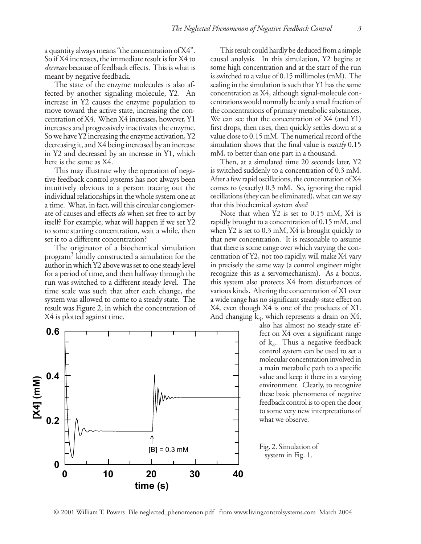a quantity always means "the concentration of X4". So if X4 increases, the immediate result is for X4 to *decrease* because of feedback effects. This is what is meant by negative feedback.

The state of the enzyme molecules is also affected by another signaling molecule, Y2. An increase in Y2 causes the enzyme population to move toward the active state, increasing the concentration of X4. When X4 increases, however, Y1 increases and progressively inactivates the enzyme. So we have Y2 increasing the enzyme activation, Y2 decreasing it, and X4 being increased by an increase in Y2 and decreased by an increase in Y1, which here is the same as X4.

This may illustrate why the operation of negative feedback control systems has not always been intuitively obvious to a person tracing out the individual relationships in the whole system one at a time. What, in fact, will this circular conglomerate of causes and effects *do* when set free to act by itself? For example, what will happen if we set Y2 to some starting concentration, wait a while, then set it to a different concentration?

The originator of a biochemical simulation program3 kindly constructed a simulation for the author in which Y2 above was set to one steady level for a period of time, and then halfway through the run was switched to a different steady level. The time scale was such that after each change, the system was allowed to come to a steady state. The result was Figure 2, in which the concentration of X4 is plotted against time.



This result could hardly be deduced from a simple causal analysis. In this simulation, Y2 begins at some high concentration and at the start of the run is switched to a value of 0.15 millimoles (mM). The scaling in the simulation is such that Y1 has the same concentration as X4, although signal-molecule concentrations would normally be only a small fraction of the concentrations of primary metabolic substances. We can see that the concentration of X4 (and Y1) first drops, then rises, then quickly settles down at a value close to 0.15 mM. The numerical record of the simulation shows that the final value is *exactly* 0.15 mM, to better than one part in a thousand.

Then, at a simulated time 20 seconds later, Y2 is switched suddenly to a concentration of 0.3 mM. After a few rapid oscillations, the concentration of X4 comes to (exactly) 0.3 mM. So, ignoring the rapid oscillations (they can be eliminated), what can we say that this biochemical system *does*?

Note that when Y2 is set to 0.15 mM, X4 is rapidly brought to a concentration of 0.15 mM, and when Y2 is set to 0.3 mM, X4 is brought quickly to that new concentration. It is reasonable to assume that there is some range over which varying the concentration of Y2, not too rapidly, will make X4 vary in precisely the same way (a control engineer might recognize this as a servomechanism). As a bonus, this system also protects X4 from disturbances of various kinds. Altering the concentration of X1 over a wide range has no significant steady-state effect on X4, even though X4 is one of the products of X1. And changing  $k_4$ , which represents a drain on X4,

also has almost no steady-state effect on X4 over a significant range of  $k_4$ . Thus a negative feedback control system can be used to set a molecular concentration involved in a main metabolic path to a specific value and keep it there in a varying environment. Clearly, to recognize these basic phenomena of negative feedback control is to open the door to some very new interpretations of what we observe.

Fig. 2. Simulation of system in Fig. 1.

© 2001 William T. Powers File neglected\_phenomenon.pdf from www.livingcontrolsystems.com March 2004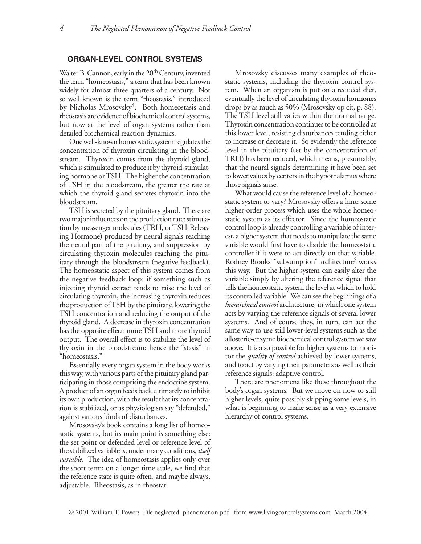# **ORGAN-LEVEL CONTROL SYSTEMS**

Walter B. Cannon, early in the 20<sup>th</sup> Century, invented the term "homeostasis," a term that has been known widely for almost three quarters of a century. Not so well known is the term "rheostasis," introduced by Nicholas Mrosovsky<sup>4</sup>. Both homeostasis and rheostasis are evidence of biochemical control systems, but now at the level of organ systems rather than detailed biochemical reaction dynamics.

One well-known homeostatic system regulates the concentration of thyroxin circulating in the bloodstream. Thyroxin comes from the thyroid gland, which is stimulated to produce it by thyroid-stimulating hormone or TSH. The higher the concentration of TSH in the bloodstream, the greater the rate at which the thyroid gland secretes thyroxin into the bloodstream.

TSH is secreted by the pituitary gland. There are two major influences on the production rate: stimulation by messenger molecules (TRH, or TSH-Releasing Hormone) produced by neural signals reaching the neural part of the pituitary, and suppression by circulating thyroxin molecules reaching the pituitary through the bloodstream (negative feedback). The homeostatic aspect of this system comes from the negative feedback loop: if something such as injecting thyroid extract tends to raise the level of circulating thyroxin, the increasing thyroxin reduces the production of TSH by the pituitary, lowering the TSH concentration and reducing the output of the thyroid gland. A decrease in thyroxin concentration has the opposite effect: more TSH and more thyroid output. The overall effect is to stabilize the level of thyroxin in the bloodstream: hence the "stasis" in "homeostasis."

Essentially every organ system in the body works this way, with various parts of the pituitary gland participating in those comprising the endocrine system. A product of an organ feeds back ultimately to inhibit its own production, with the result that its concentration is stabilized, or as physiologists say "defended," against various kinds of disturbances.

Mrosovsky's book contains a long list of homeostatic systems, but its main point is something else: the set point or defended level or reference level of the stabilized variable is, under many conditions, *itself variable*. The idea of homeostasis applies only over the short term; on a longer time scale, we find that the reference state is quite often, and maybe always, adjustable. Rheostasis, as in rheostat.

Mrosovsky discusses many examples of rheostatic systems, including the thyroxin control system. When an organism is put on a reduced diet, eventually the level of circulating thyroxin hormones drops by as much as 50% (Mrosovsky op cit, p. 88). The TSH level still varies within the normal range. Thyroxin concentration continues to be controlled at this lower level, resisting disturbances tending either to increase or decrease it. So evidently the reference level in the pituitary (set by the concentration of TRH) has been reduced, which means, presumably, that the neural signals determining it have been set to lower values by centers in the hypothalamus where those signals arise.

What would cause the reference level of a homeostatic system to vary? Mrosovsky offers a hint: some higher-order process which uses the whole homeostatic system as its effector. Since the homeostatic control loop is already controlling a variable of interest, a higher system that needs to manipulate the same variable would first have to disable the homeostatic controller if it were to act directly on that variable. Rodney Brooks' "subsumption" architecture<sup>5</sup> works this way. But the higher system can easily alter the variable simply by altering the reference signal that tells the homeostatic system the level at which to hold its controlled variable. We can see the beginnings of a *hierarchical control* architecture, in which one system acts by varying the reference signals of several lower systems. And of course they, in turn, can act the same way to use still lower-level systems such as the allosteric-enzyme biochemical control system we saw above. It is also possible for higher systems to monitor the *quality of control* achieved by lower systems, and to act by varying their parameters as well as their reference signals: adaptive control.

There are phenomena like these throughout the body's organ systems. But we move on now to still higher levels, quite possibly skipping some levels, in what is beginning to make sense as a very extensive hierarchy of control systems.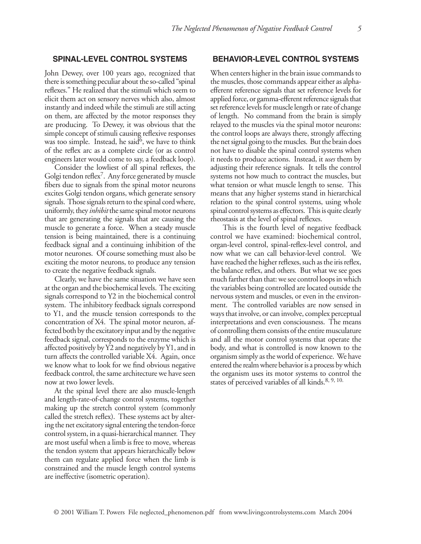# **SPINAL-LEVEL CONTROL SYSTEMS**

John Dewey, over 100 years ago, recognized that there is something peculiar about the so-called "spinal reflexes." He realized that the stimuli which seem to elicit them act on sensory nerves which also, almost instantly and indeed while the stimuli are still acting on them, are affected by the motor responses they are producing. To Dewey, it was obvious that the simple concept of stimuli causing reflexive responses was too simple. Instead, he said $\mathfrak{b}$ , we have to think of the reflex arc as a complete circle (or as control engineers later would come to say, a feedback loop).

Consider the lowliest of all spinal reflexes, the Golgi tendon reflex $\ell$ . Any force generated by muscle fibers due to signals from the spinal motor neurons excites Golgi tendon organs, which generate sensory signals. Those signals return to the spinal cord where, uniformly, they *inhibit* the same spinal motor neurons that are generating the signals that are causing the muscle to generate a force. When a steady muscle tension is being maintained, there is a continuing feedback signal and a continuing inhibition of the motor neurones. Of course something must also be exciting the motor neurons, to produce any tension to create the negative feedback signals.

Clearly, we have the same situation we have seen at the organ and the biochemical levels. The exciting signals correspond to Y2 in the biochemical control system. The inhibitory feedback signals correspond to Y1, and the muscle tension corresponds to the concentration of X4. The spinal motor neuron, affected both by the excitatory input and by the negative feedback signal, corresponds to the enzyme which is affected positively by Y2 and negatively by Y1, and in turn affects the controlled variable X4. Again, once we know what to look for we find obvious negative feedback control, the same architecture we have seen now at two lower levels.

At the spinal level there are also muscle-length and length-rate-of-change control systems, together making up the stretch control system (commonly called the stretch reflex). These systems act by altering the net excitatory signal entering the tendon-force control system, in a quasi-hierarchical manner. They are most useful when a limb is free to move, whereas the tendon system that appears hierarchically below them can regulate applied force when the limb is constrained and the muscle length control systems are ineffective (isometric operation).

### **BEHAVIOR-LEVEL CONTROL SYSTEMS**

When centers higher in the brain issue commands to the muscles, those commands appear either as alphaefferent reference signals that set reference levels for applied force, or gamma-efferent reference signals that set reference levels for muscle length or rate of change of length. No command from the brain is simply relayed to the muscles via the spinal motor neurons: the control loops are always there, strongly affecting the net signal going to the muscles. But the brain does not have to disable the spinal control systems when it needs to produce actions. Instead, it *uses* them by adjusting their reference signals. It tells the control systems not how much to contract the muscles, but what tension or what muscle length to sense. This means that any higher systems stand in hierarchical relation to the spinal control systems, using whole spinal control systems as effectors. This is quite clearly rheostasis at the level of spinal reflexes.

 This is the fourth level of negative feedback control we have examined: biochemical control, organ-level control, spinal-reflex-level control, and now what we can call behavior-level control. We have reached the higher reflexes, such as the iris reflex, the balance reflex, and others. But what we see goes much farther than that: we see control loops in which the variables being controlled are located outside the nervous system and muscles, or even in the environment. The controlled variables are now sensed in ways that involve, or can involve, complex perceptual interpretations and even consciousness. The means of controlling them consists of the entire musculature and all the motor control systems that operate the body, and what is controlled is now known to the organism simply as the world of experience. We have entered the realm where behavior is a process by which the organism uses its motor systems to control the states of perceived variables of all kinds.<sup>8, 9, 10.</sup>